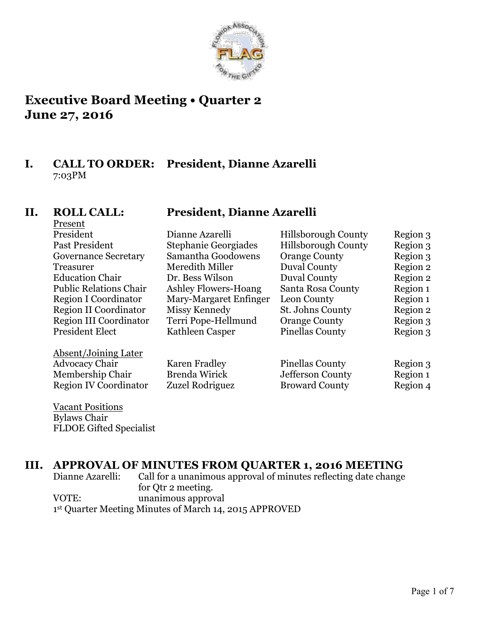

# **Executive Board Meeting • Quarter 2 June 27, 2016**

# **I. CALL TO ORDER: President, Dianne Azarelli** 7:03PM

# Present

## **II. ROLL CALL: President, Dianne Azarelli**

| President                     | Dianne Azarelli             | <b>Hillsborough County</b> | Region 3 |
|-------------------------------|-----------------------------|----------------------------|----------|
| Past President                | <b>Stephanie Georgiades</b> | <b>Hillsborough County</b> | Region 3 |
| <b>Governance Secretary</b>   | Samantha Goodowens          | <b>Orange County</b>       | Region 3 |
| <b>Treasurer</b>              | Meredith Miller             | <b>Duval County</b>        | Region 2 |
| <b>Education Chair</b>        | Dr. Bess Wilson             | <b>Duval County</b>        | Region 2 |
| <b>Public Relations Chair</b> | Ashley Flowers-Hoang        | Santa Rosa County          | Region 1 |
| <b>Region I Coordinator</b>   | Mary-Margaret Enfinger      | Leon County                | Region 1 |
| Region II Coordinator         | Missy Kennedy               | St. Johns County           | Region 2 |
| Region III Coordinator        | Terri Pope-Hellmund         | <b>Orange County</b>       | Region 3 |
| <b>President Elect</b>        | Kathleen Casper             | <b>Pinellas County</b>     | Region 3 |
| Absent/Joining Later          |                             |                            |          |
| <b>Advocacy Chair</b>         | <b>Karen Fradley</b>        | <b>Pinellas County</b>     | Region 3 |
| Membership Chair              | <b>Brenda Wirick</b>        | Jefferson County           | Region 1 |
| <b>Region IV Coordinator</b>  | Zuzel Rodriguez             | <b>Broward County</b>      | Region 4 |
|                               |                             |                            |          |
|                               |                             |                            |          |

Vacant Positions Bylaws Chair FLDOE Gifted Specialist

# **III. APPROVAL OF MINUTES FROM QUARTER 1, 2016 MEETING**

Dianne Azarelli: Call for a unanimous approval of minutes reflecting date change for Qtr 2 meeting. VOTE: unanimous approval 1st Quarter Meeting Minutes of March 14, 2015 APPROVED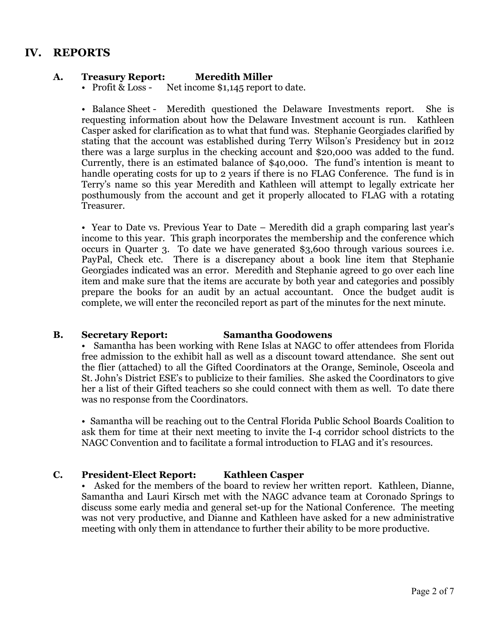# **IV. REPORTS**

### **A. Treasury Report: Meredith Miller**

• Profit & Loss - Net income \$1,145 report to date.

• Balance Sheet - Meredith questioned the Delaware Investments report. She is requesting information about how the Delaware Investment account is run. Kathleen Casper asked for clarification as to what that fund was. Stephanie Georgiades clarified by stating that the account was established during Terry Wilson's Presidency but in 2012 there was a large surplus in the checking account and \$20,000 was added to the fund. Currently, there is an estimated balance of \$40,000. The fund's intention is meant to handle operating costs for up to 2 years if there is no FLAG Conference. The fund is in Terry's name so this year Meredith and Kathleen will attempt to legally extricate her posthumously from the account and get it properly allocated to FLAG with a rotating Treasurer.

• Year to Date vs. Previous Year to Date – Meredith did a graph comparing last year's income to this year. This graph incorporates the membership and the conference which occurs in Quarter 3. To date we have generated \$3,600 through various sources i.e. PayPal, Check etc. There is a discrepancy about a book line item that Stephanie Georgiades indicated was an error. Meredith and Stephanie agreed to go over each line item and make sure that the items are accurate by both year and categories and possibly prepare the books for an audit by an actual accountant. Once the budget audit is complete, we will enter the reconciled report as part of the minutes for the next minute.

### **B. Secretary Report: Samantha Goodowens**

• Samantha has been working with Rene Islas at NAGC to offer attendees from Florida free admission to the exhibit hall as well as a discount toward attendance. She sent out the flier (attached) to all the Gifted Coordinators at the Orange, Seminole, Osceola and St. John's District ESE's to publicize to their families. She asked the Coordinators to give her a list of their Gifted teachers so she could connect with them as well. To date there was no response from the Coordinators.

• Samantha will be reaching out to the Central Florida Public School Boards Coalition to ask them for time at their next meeting to invite the I-4 corridor school districts to the NAGC Convention and to facilitate a formal introduction to FLAG and it's resources.

### **C. President-Elect Report: Kathleen Casper**

Asked for the members of the board to review her written report. Kathleen, Dianne, Samantha and Lauri Kirsch met with the NAGC advance team at Coronado Springs to discuss some early media and general set-up for the National Conference. The meeting was not very productive, and Dianne and Kathleen have asked for a new administrative meeting with only them in attendance to further their ability to be more productive.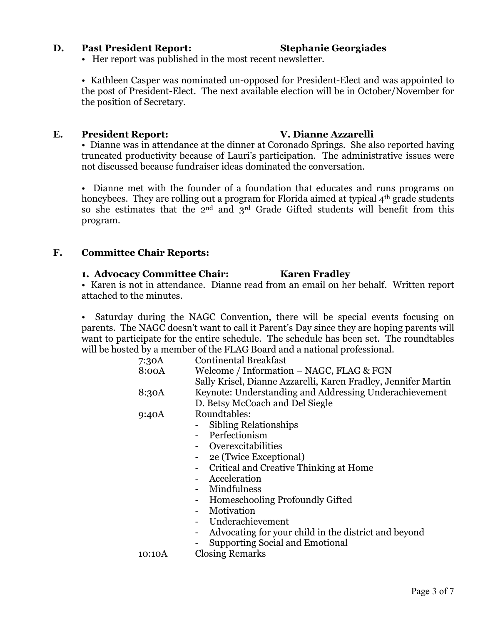#### **D. Past President Report: Stephanie Georgiades**

• Her report was published in the most recent newsletter.

• Kathleen Casper was nominated un-opposed for President-Elect and was appointed to the post of President-Elect. The next available election will be in October/November for the position of Secretary.

#### **E. President Report: V. Dianne Azzarelli**

• Dianne was in attendance at the dinner at Coronado Springs. She also reported having truncated productivity because of Lauri's participation. The administrative issues were not discussed because fundraiser ideas dominated the conversation.

• Dianne met with the founder of a foundation that educates and runs programs on honeybees. They are rolling out a program for Florida aimed at typical 4<sup>th</sup> grade students so she estimates that the  $2^{nd}$  and  $3^{rd}$  Grade Gifted students will benefit from this program.

#### **F. Committee Chair Reports:**

#### **1. Advocacy Committee Chair: Karen Fradley**

• Karen is not in attendance. Dianne read from an email on her behalf. Written report attached to the minutes.

Saturday during the NAGC Convention, there will be special events focusing on parents. The NAGC doesn't want to call it Parent's Day since they are hoping parents will want to participate for the entire schedule. The schedule has been set. The roundtables will be hosted by a member of the FLAG Board and a national professional.

| 7:30A  | Continental Breakfast                                                            |  |  |  |
|--------|----------------------------------------------------------------------------------|--|--|--|
| 8:00A  | Welcome / Information – NAGC, FLAG & FGN                                         |  |  |  |
|        | Sally Krisel, Dianne Azzarelli, Karen Fradley, Jennifer Martin                   |  |  |  |
| 8:30A  | Keynote: Understanding and Addressing Underachievement                           |  |  |  |
|        | D. Betsy McCoach and Del Siegle                                                  |  |  |  |
| 9:40A  | Roundtables:                                                                     |  |  |  |
|        | Sibling Relationships                                                            |  |  |  |
|        | - Perfectionism                                                                  |  |  |  |
|        | - Overexcitabilities                                                             |  |  |  |
|        | 2e (Twice Exceptional)                                                           |  |  |  |
|        | Critical and Creative Thinking at Home                                           |  |  |  |
|        | Acceleration                                                                     |  |  |  |
|        | Mindfulness                                                                      |  |  |  |
|        | <b>Homeschooling Profoundly Gifted</b>                                           |  |  |  |
|        | Motivation                                                                       |  |  |  |
|        | Underachievement                                                                 |  |  |  |
|        | Advocating for your child in the district and beyond<br>$\overline{\phantom{a}}$ |  |  |  |
|        | <b>Supporting Social and Emotional</b>                                           |  |  |  |
| 10:10A | <b>Closing Remarks</b>                                                           |  |  |  |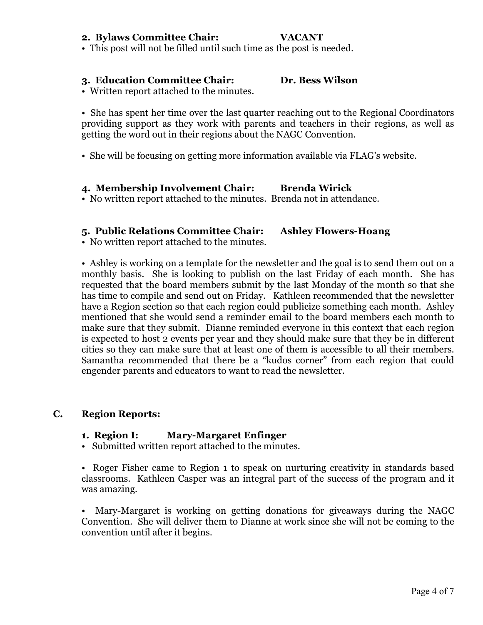#### **2. Bylaws Committee Chair: VACANT**

• This post will not be filled until such time as the post is needed.

#### **3. Education Committee Chair: Dr. Bess Wilson**

• Written report attached to the minutes.

• She has spent her time over the last quarter reaching out to the Regional Coordinators providing support as they work with parents and teachers in their regions, as well as getting the word out in their regions about the NAGC Convention.

• She will be focusing on getting more information available via FLAG's website.

#### **4. Membership Involvement Chair: Brenda Wirick**

• No written report attached to the minutes. Brenda not in attendance.

### **5. Public Relations Committee Chair: Ashley Flowers-Hoang**

• No written report attached to the minutes.

• Ashley is working on a template for the newsletter and the goal is to send them out on a monthly basis. She is looking to publish on the last Friday of each month. She has requested that the board members submit by the last Monday of the month so that she has time to compile and send out on Friday. Kathleen recommended that the newsletter have a Region section so that each region could publicize something each month. Ashley mentioned that she would send a reminder email to the board members each month to make sure that they submit. Dianne reminded everyone in this context that each region is expected to host 2 events per year and they should make sure that they be in different cities so they can make sure that at least one of them is accessible to all their members. Samantha recommended that there be a "kudos corner" from each region that could engender parents and educators to want to read the newsletter.

### **C. Region Reports:**

#### **1. Region I: Mary-Margaret Enfinger**

• Submitted written report attached to the minutes.

• Roger Fisher came to Region 1 to speak on nurturing creativity in standards based classrooms. Kathleen Casper was an integral part of the success of the program and it was amazing.

• Mary-Margaret is working on getting donations for giveaways during the NAGC Convention. She will deliver them to Dianne at work since she will not be coming to the convention until after it begins.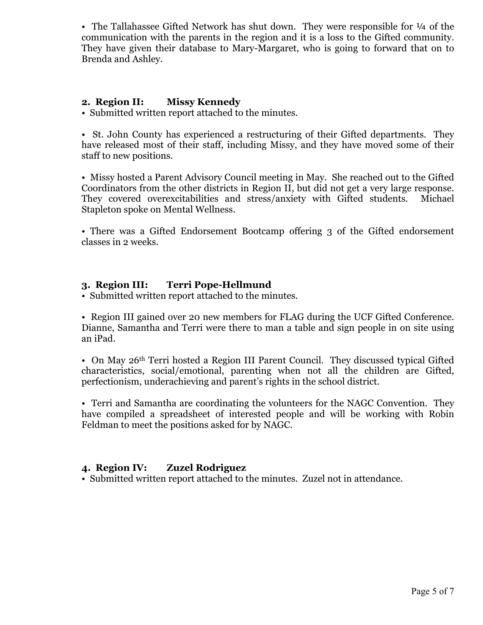• The Tallahassee Gifted Network has shut down. They were responsible for  $\frac{1}{4}$  of the communication with the parents in the region and it is a loss to the Gifted community. They have given their database to Mary-Margaret, who is going to forward that on to Brenda and Ashley.

### **2. Region II: Missy Kennedy**

• Submitted written report attached to the minutes.

• St. John County has experienced a restructuring of their Gifted departments. They have released most of their staff, including Missy, and they have moved some of their staff to new positions.

• Missy hosted a Parent Advisory Council meeting in May. She reached out to the Gifted Coordinators from the other districts in Region II, but did not get a very large response. They covered overexcitabilities and stress/anxiety with Gifted students. Michael Stapleton spoke on Mental Wellness.

• There was a Gifted Endorsement Bootcamp offering 3 of the Gifted endorsement classes in 2 weeks.

### **3. Region III: Terri Pope-Hellmund**

• Submitted written report attached to the minutes.

• Region III gained over 20 new members for FLAG during the UCF Gifted Conference. Dianne, Samantha and Terri were there to man a table and sign people in on site using an iPad.

• On May 26<sup>th</sup> Terri hosted a Region III Parent Council. They discussed typical Gifted characteristics, social/emotional, parenting when not all the children are Gifted, perfectionism, underachieving and parent's rights in the school district.

• Terri and Samantha are coordinating the volunteers for the NAGC Convention. They have compiled a spreadsheet of interested people and will be working with Robin Feldman to meet the positions asked for by NAGC.

### **4. Region IV: Zuzel Rodriguez**

• Submitted written report attached to the minutes. Zuzel not in attendance.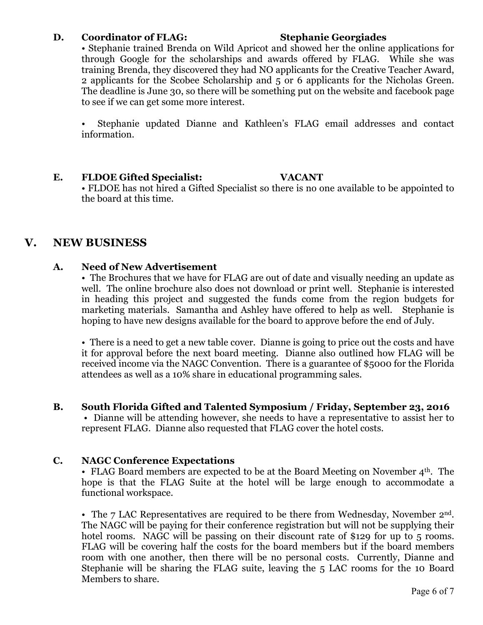### **D. Coordinator of FLAG: Stephanie Georgiades**

• Stephanie trained Brenda on Wild Apricot and showed her the online applications for through Google for the scholarships and awards offered by FLAG. While she was training Brenda, they discovered they had NO applicants for the Creative Teacher Award, 2 applicants for the Scobee Scholarship and 5 or 6 applicants for the Nicholas Green. The deadline is June 30, so there will be something put on the website and facebook page to see if we can get some more interest.

• Stephanie updated Dianne and Kathleen's FLAG email addresses and contact information.

### **E. FLDOE Gifted Specialist: VACANT**

• FLDOE has not hired a Gifted Specialist so there is no one available to be appointed to the board at this time.

# **V. NEW BUSINESS**

### **A. Need of New Advertisement**

• The Brochures that we have for FLAG are out of date and visually needing an update as well. The online brochure also does not download or print well. Stephanie is interested in heading this project and suggested the funds come from the region budgets for marketing materials. Samantha and Ashley have offered to help as well. Stephanie is hoping to have new designs available for the board to approve before the end of July.

• There is a need to get a new table cover. Dianne is going to price out the costs and have it for approval before the next board meeting. Dianne also outlined how FLAG will be received income via the NAGC Convention. There is a guarantee of \$5000 for the Florida attendees as well as a 10% share in educational programming sales.

### **B. South Florida Gifted and Talented Symposium / Friday, September 23, 2016**

• Dianne will be attending however, she needs to have a representative to assist her to represent FLAG. Dianne also requested that FLAG cover the hotel costs.

### **C. NAGC Conference Expectations**

• FLAG Board members are expected to be at the Board Meeting on November  $4<sup>th</sup>$ . The hope is that the FLAG Suite at the hotel will be large enough to accommodate a functional workspace.

• The 7 LAC Representatives are required to be there from Wednesday, November  $2<sup>nd</sup>$ . The NAGC will be paying for their conference registration but will not be supplying their hotel rooms. NAGC will be passing on their discount rate of \$129 for up to 5 rooms. FLAG will be covering half the costs for the board members but if the board members room with one another, then there will be no personal costs. Currently, Dianne and Stephanie will be sharing the FLAG suite, leaving the 5 LAC rooms for the 10 Board Members to share.